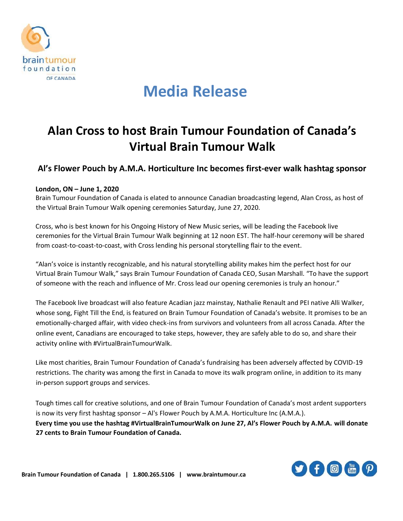

## **Media Release**

### **Alan Cross to host Brain Tumour Foundation of Canada's Virtual Brain Tumour Walk**

### **Al's Flower Pouch by A.M.A. Horticulture Inc becomes first-ever walk hashtag sponsor**

#### **London, ON – June 1, 2020**

Brain Tumour Foundation of Canada is elated to announce Canadian broadcasting legend, Alan Cross, as host of the Virtual Brain Tumour Walk opening ceremonies Saturday, June 27, 2020.

Cross, who is best known for his Ongoing History of New Music series, will be leading the Facebook live ceremonies for the Virtual Brain Tumour Walk beginning at 12 noon EST. The half-hour ceremony will be shared from coast-to-coast-to-coast, with Cross lending his personal storytelling flair to the event.

"Alan's voice is instantly recognizable, and his natural storytelling ability makes him the perfect host for our Virtual Brain Tumour Walk," says Brain Tumour Foundation of Canada CEO, Susan Marshall. "To have the support of someone with the reach and influence of Mr. Cross lead our opening ceremonies is truly an honour."

The Facebook live broadcast will also feature Acadian jazz mainstay, Nathalie Renault and PEI native Alli Walker, whose song, Fight Till the End, is featured on Brain Tumour Foundation of Canada's website. It promises to be an emotionally-charged affair, with video check-ins from survivors and volunteers from all across Canada. After the online event, Canadians are encouraged to take steps, however, they are safely able to do so, and share their activity online with #VirtualBrainTumourWalk.

Like most charities, Brain Tumour Foundation of Canada's fundraising has been adversely affected by COVID-19 restrictions. The charity was among the first in Canada to move its walk program online, in addition to its many in-person support groups and services.

Tough times call for creative solutions, and one of Brain Tumour Foundation of Canada's most ardent supporters is now its very first hashtag sponsor – Al's Flower Pouch by A.M.A. Horticulture Inc (A.M.A.). **Every time you use the hashtag #VirtualBrainTumourWalk on June 27, Al's Flower Pouch by A.M.A. will donate 27 cents to Brain Tumour Foundation of Canada.**

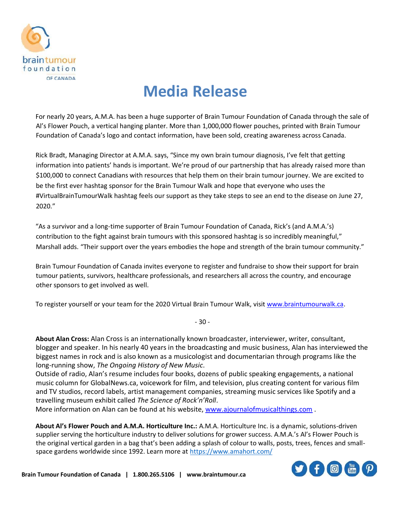

# **Media Release**

For nearly 20 years, A.M.A. has been a huge supporter of Brain Tumour Foundation of Canada through the sale of Al's Flower Pouch, a vertical hanging planter. More than 1,000,000 flower pouches, printed with Brain Tumour Foundation of Canada's logo and contact information, have been sold, creating awareness across Canada.

Rick Bradt, Managing Director at A.M.A. says, "Since my own brain tumour diagnosis, I've felt that getting information into patients' hands is important. We're proud of our partnership that has already raised more than \$100,000 to connect Canadians with resources that help them on their brain tumour journey. We are excited to be the first ever hashtag sponsor for the Brain Tumour Walk and hope that everyone who uses the #VirtualBrainTumourWalk hashtag feels our support as they take steps to see an end to the disease on June 27, 2020."

"As a survivor and a long-time supporter of Brain Tumour Foundation of Canada, Rick's (and A.M.A.'s) contribution to the fight against brain tumours with this sponsored hashtag is so incredibly meaningful," Marshall adds. "Their support over the years embodies the hope and strength of the brain tumour community."

Brain Tumour Foundation of Canada invites everyone to register and fundraise to show their support for brain tumour patients, survivors, healthcare professionals, and researchers all across the country, and encourage other sponsors to get involved as well.

To register yourself or your team for the 2020 Virtual Brain Tumour Walk, visi[t www.braintumourwalk.ca.](http://www.braintumourwalk.ca/) 

- 30 -

**About Alan Cross:** Alan Cross is an internationally known broadcaster, interviewer, writer, consultant, blogger and speaker. In his nearly 40 years in the broadcasting and music business, Alan has interviewed the biggest names in rock and is also known as a musicologist and documentarian through programs like the long-running show, *The Ongoing History of New Music*.

Outside of radio, Alan's resume includes four books, dozens of public speaking engagements, a national music column for GlobalNews.ca, voicework for film, and television, plus creating content for various film and TV studios, record labels, artist management companies, streaming music services like Spotify and a travelling museum exhibit called *The Science of Rock'n'Roll*.

More information on Alan can be found at his website, [www.ajournalofmusicalthings.com](http://www.ajournalofmusicalthings.com/) .

**About Al's Flower Pouch and A.M.A. Horticulture Inc.:** A.M.A. Horticulture Inc. is a dynamic, solutions-driven supplier serving the horticulture industry to deliver solutions for grower success. A.M.A.'s Al's Flower Pouch is the original vertical garden in a bag that's been adding a splash of colour to walls, posts, trees, fences and smallspace gardens worldwide since 1992. Learn more at<https://www.amahort.com/>